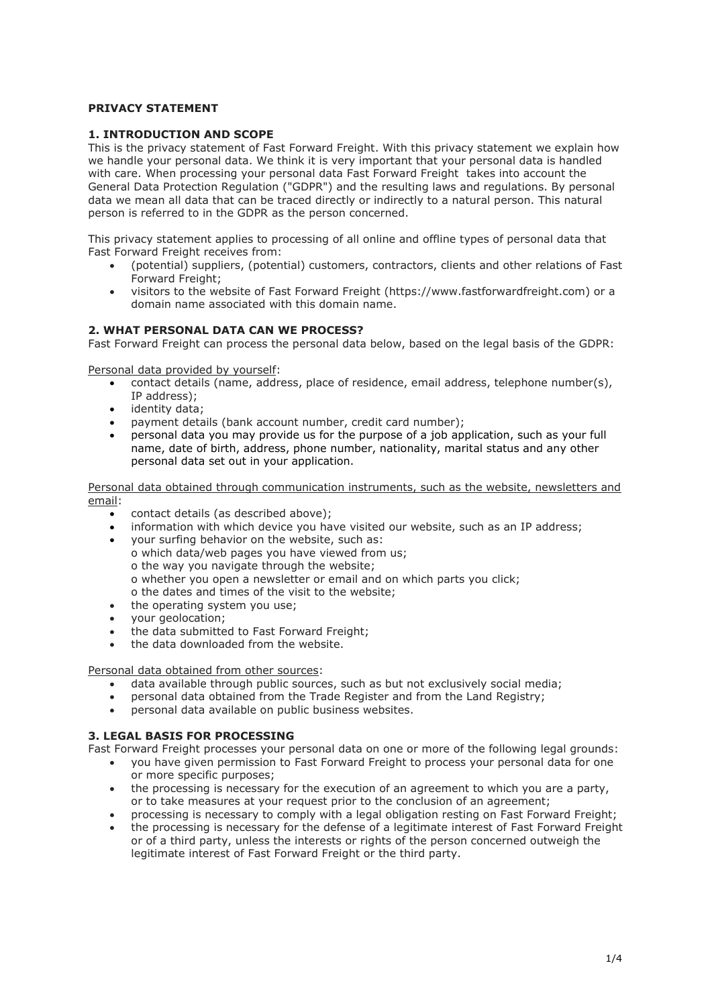## **PRIVACY STATEMENT**

## **1. INTRODUCTION AND SCOPE**

This is the privacy statement of Fast Forward Freight. With this privacy statement we explain how we handle your personal data. We think it is very important that your personal data is handled with care. When processing your personal data Fast Forward Freight takes into account the General Data Protection Regulation ("GDPR") and the resulting laws and regulations. By personal data we mean all data that can be traced directly or indirectly to a natural person. This natural person is referred to in the GDPR as the person concerned.

This privacy statement applies to processing of all online and offline types of personal data that Fast Forward Freight receives from:

- (potential) suppliers, (potential) customers, contractors, clients and other relations of Fast Forward Freight;
- visitors to the website of Fast Forward Freight (https://www.fastforwardfreight.com) or a domain name associated with this domain name.

### **2. WHAT PERSONAL DATA CAN WE PROCESS?**

Fast Forward Freight can process the personal data below, based on the legal basis of the GDPR:

Personal data provided by yourself:

- contact details (name, address, place of residence, email address, telephone number(s), IP address);
- identity data;
- payment details (bank account number, credit card number);
- personal data you may provide us for the purpose of a job application, such as your full name, date of birth, address, phone number, nationality, marital status and any other personal data set out in your application.

Personal data obtained through communication instruments, such as the website, newsletters and email:

- contact details (as described above);
- information with which device you have visited our website, such as an IP address;
- your surfing behavior on the website, such as:
- o which data/web pages you have viewed from us;
- o the way you navigate through the website;
- o whether you open a newsletter or email and on which parts you click;
- o the dates and times of the visit to the website;
- the operating system you use;
- your geolocation;
- the data submitted to Fast Forward Freight;
- the data downloaded from the website.

Personal data obtained from other sources:

- data available through public sources, such as but not exclusively social media;
- personal data obtained from the Trade Register and from the Land Registry;
- personal data available on public business websites.

### **3. LEGAL BASIS FOR PROCESSING**

Fast Forward Freight processes your personal data on one or more of the following legal grounds:

- you have given permission to Fast Forward Freight to process your personal data for one or more specific purposes;
- the processing is necessary for the execution of an agreement to which you are a party, or to take measures at your request prior to the conclusion of an agreement;
- processing is necessary to comply with a legal obligation resting on Fast Forward Freight;
- the processing is necessary for the defense of a legitimate interest of Fast Forward Freight or of a third party, unless the interests or rights of the person concerned outweigh the legitimate interest of Fast Forward Freight or the third party.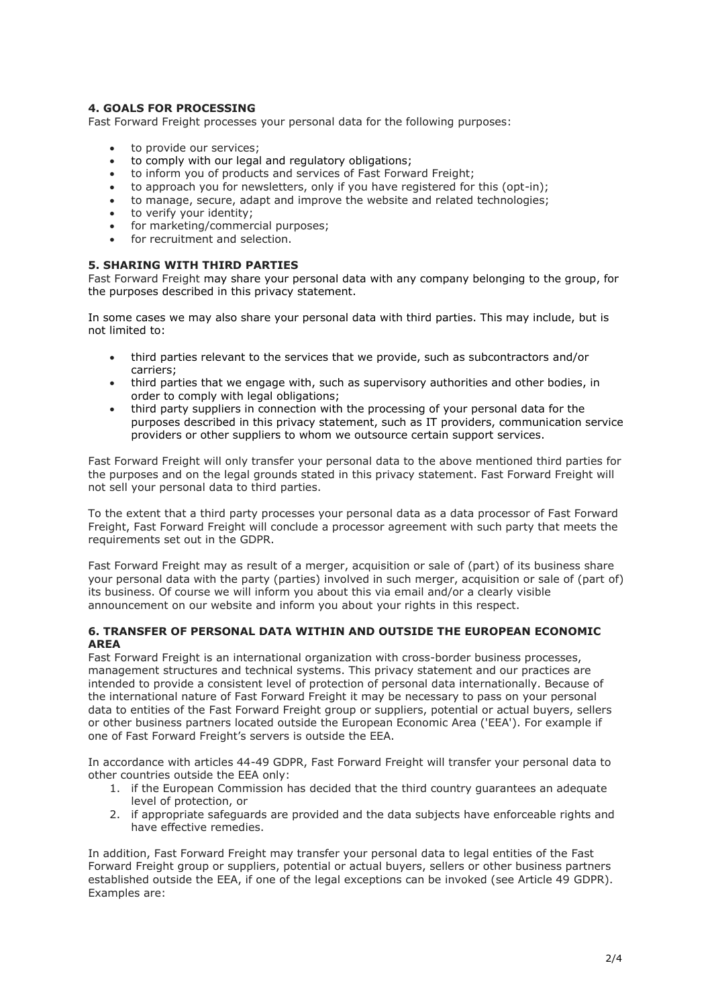## **4. GOALS FOR PROCESSING**

Fast Forward Freight processes your personal data for the following purposes:

- to provide our services;
- to comply with our legal and regulatory obligations;
- to inform you of products and services of Fast Forward Freight;
- to approach you for newsletters, only if you have registered for this (opt-in);
- to manage, secure, adapt and improve the website and related technologies;
- to verify your identity;
- for marketing/commercial purposes;
- for recruitment and selection.

### **5. SHARING WITH THIRD PARTIES**

Fast Forward Freight may share your personal data with any company belonging to the group, for the purposes described in this privacy statement.

In some cases we may also share your personal data with third parties. This may include, but is not limited to:

- third parties relevant to the services that we provide, such as subcontractors and/or carriers;
- third parties that we engage with, such as supervisory authorities and other bodies, in order to comply with legal obligations;
- third party suppliers in connection with the processing of your personal data for the purposes described in this privacy statement, such as IT providers, communication service providers or other suppliers to whom we outsource certain support services.

Fast Forward Freight will only transfer your personal data to the above mentioned third parties for the purposes and on the legal grounds stated in this privacy statement. Fast Forward Freight will not sell your personal data to third parties.

To the extent that a third party processes your personal data as a data processor of Fast Forward Freight, Fast Forward Freight will conclude a processor agreement with such party that meets the requirements set out in the GDPR.

Fast Forward Freight may as result of a merger, acquisition or sale of (part) of its business share your personal data with the party (parties) involved in such merger, acquisition or sale of (part of) its business. Of course we will inform you about this via email and/or a clearly visible announcement on our website and inform you about your rights in this respect.

### **6. TRANSFER OF PERSONAL DATA WITHIN AND OUTSIDE THE EUROPEAN ECONOMIC AREA**

Fast Forward Freight is an international organization with cross-border business processes, management structures and technical systems. This privacy statement and our practices are intended to provide a consistent level of protection of personal data internationally. Because of the international nature of Fast Forward Freight it may be necessary to pass on your personal data to entities of the Fast Forward Freight group or suppliers, potential or actual buyers, sellers or other business partners located outside the European Economic Area ('EEA'). For example if one of Fast Forward Freight's servers is outside the EEA.

In accordance with articles 44-49 GDPR, Fast Forward Freight will transfer your personal data to other countries outside the EEA only:

- 1. if the European Commission has decided that the third country guarantees an adequate level of protection, or
- 2. if appropriate safeguards are provided and the data subjects have enforceable rights and have effective remedies.

In addition, Fast Forward Freight may transfer your personal data to legal entities of the Fast Forward Freight group or suppliers, potential or actual buyers, sellers or other business partners established outside the EEA, if one of the legal exceptions can be invoked (see Article 49 GDPR). Examples are: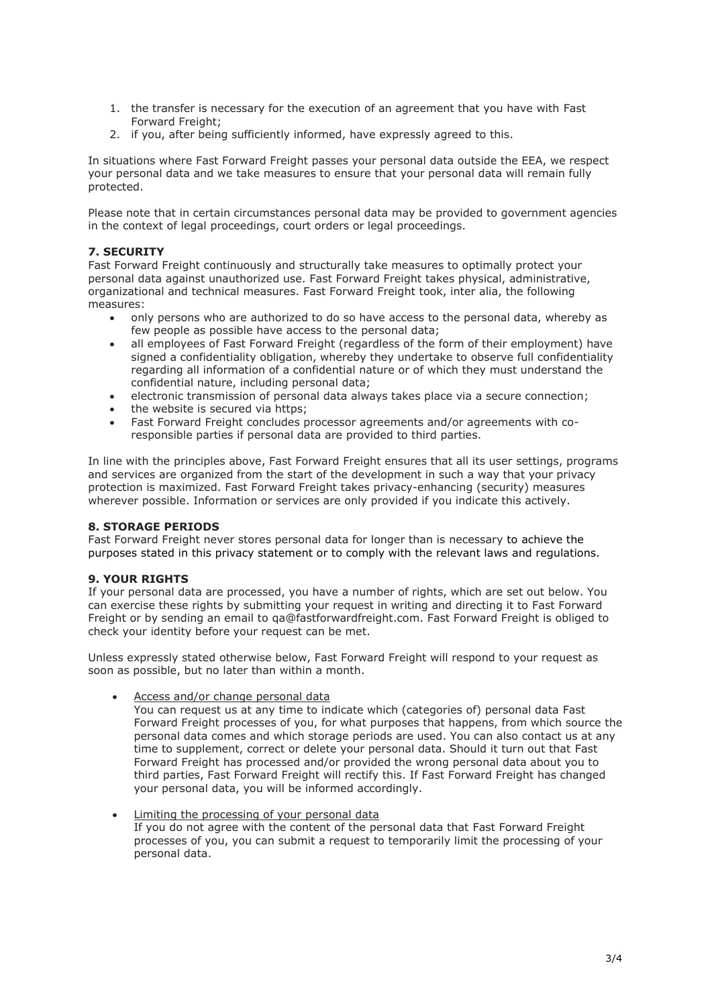- 1. the transfer is necessary for the execution of an agreement that you have with Fast Forward Freight;
- 2. if you, after being sufficiently informed, have expressly agreed to this.

In situations where Fast Forward Freight passes your personal data outside the EEA, we respect your personal data and we take measures to ensure that your personal data will remain fully protected.

Please note that in certain circumstances personal data may be provided to government agencies in the context of legal proceedings, court orders or legal proceedings.

# **7. SECURITY**

Fast Forward Freight continuously and structurally take measures to optimally protect your personal data against unauthorized use. Fast Forward Freight takes physical, administrative, organizational and technical measures. Fast Forward Freight took, inter alia, the following measures:

- only persons who are authorized to do so have access to the personal data, whereby as few people as possible have access to the personal data;
- all employees of Fast Forward Freight (regardless of the form of their employment) have signed a confidentiality obligation, whereby they undertake to observe full confidentiality regarding all information of a confidential nature or of which they must understand the confidential nature, including personal data;
- electronic transmission of personal data always takes place via a secure connection;
- the website is secured via https;
- Fast Forward Freight concludes processor agreements and/or agreements with coresponsible parties if personal data are provided to third parties.

In line with the principles above, Fast Forward Freight ensures that all its user settings, programs and services are organized from the start of the development in such a way that your privacy protection is maximized. Fast Forward Freight takes privacy-enhancing (security) measures wherever possible. Information or services are only provided if you indicate this actively.

# **8. STORAGE PERIODS**

Fast Forward Freight never stores personal data for longer than is necessary to achieve the purposes stated in this privacy statement or to comply with the relevant laws and regulations.

# **9. YOUR RIGHTS**

If your personal data are processed, you have a number of rights, which are set out below. You can exercise these rights by submitting your request in writing and directing it to Fast Forward Freight or by sending an email to qa@fastforwardfreight.com. Fast Forward Freight is obliged to check your identity before your request can be met.

Unless expressly stated otherwise below, Fast Forward Freight will respond to your request as soon as possible, but no later than within a month.

Access and/or change personal data

You can request us at any time to indicate which (categories of) personal data Fast Forward Freight processes of you, for what purposes that happens, from which source the personal data comes and which storage periods are used. You can also contact us at any time to supplement, correct or delete your personal data. Should it turn out that Fast Forward Freight has processed and/or provided the wrong personal data about you to third parties, Fast Forward Freight will rectify this. If Fast Forward Freight has changed your personal data, you will be informed accordingly.

• Limiting the processing of your personal data If you do not agree with the content of the personal data that Fast Forward Freight processes of you, you can submit a request to temporarily limit the processing of your personal data.